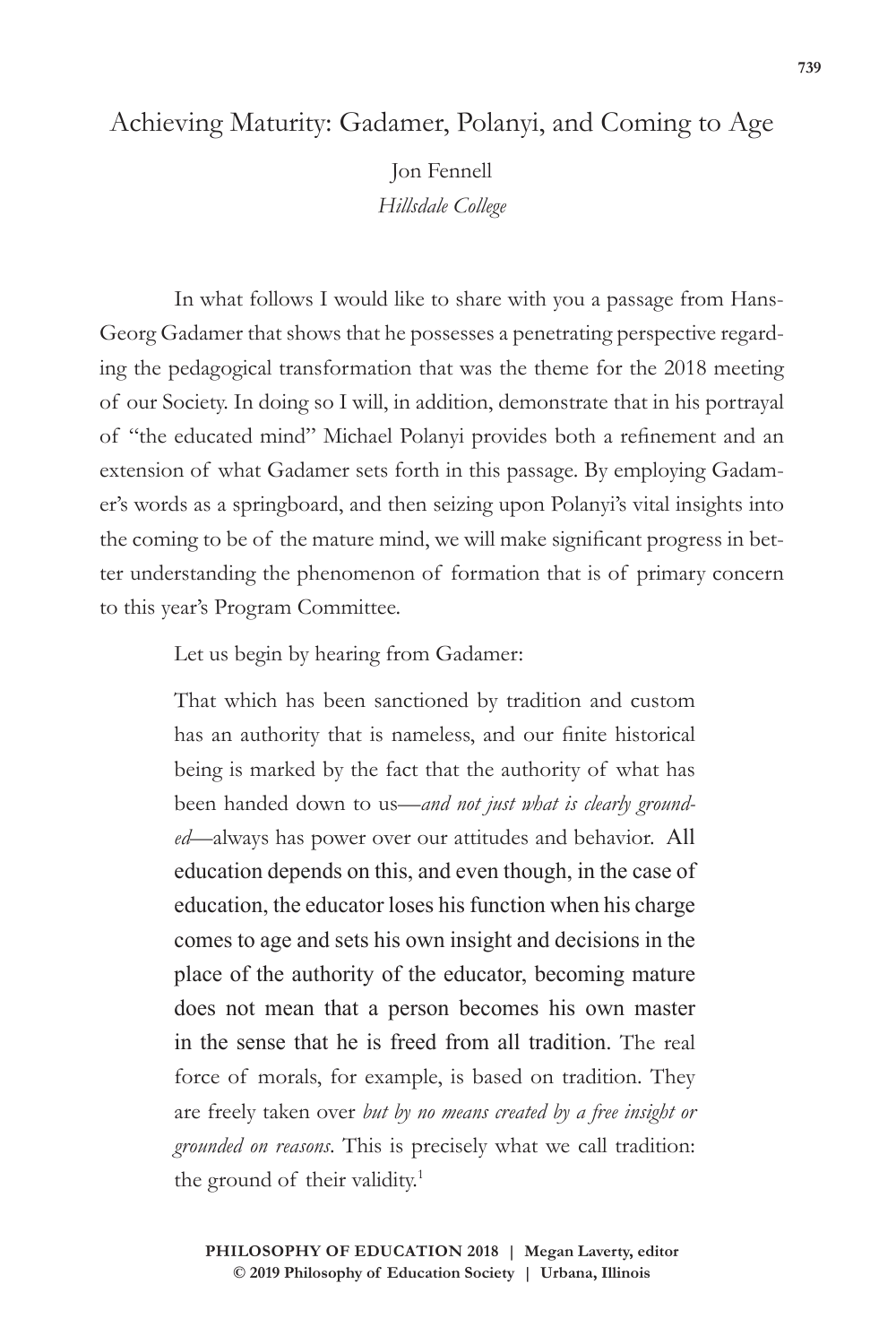# Achieving Maturity: Gadamer, Polanyi, and Coming to Age

Jon Fennell *Hillsdale College*

In what follows I would like to share with you a passage from Hans-Georg Gadamer that shows that he possesses a penetrating perspective regarding the pedagogical transformation that was the theme for the 2018 meeting of our Society. In doing so I will, in addition, demonstrate that in his portrayal of "the educated mind" Michael Polanyi provides both a refinement and an extension of what Gadamer sets forth in this passage. By employing Gadamer's words as a springboard, and then seizing upon Polanyi's vital insights into the coming to be of the mature mind, we will make significant progress in better understanding the phenomenon of formation that is of primary concern to this year's Program Committee.

Let us begin by hearing from Gadamer:

That which has been sanctioned by tradition and custom has an authority that is nameless, and our finite historical being is marked by the fact that the authority of what has been handed down to us—*and not just what is clearly grounded*—always has power over our attitudes and behavior. All education depends on this, and even though, in the case of education, the educator loses his function when his charge comes to age and sets his own insight and decisions in the place of the authority of the educator, becoming mature does not mean that a person becomes his own master in the sense that he is freed from all tradition. The real force of morals, for example, is based on tradition. They are freely taken over *but by no means created by a free insight or grounded on reasons*. This is precisely what we call tradition: the ground of their validity.<sup>1</sup>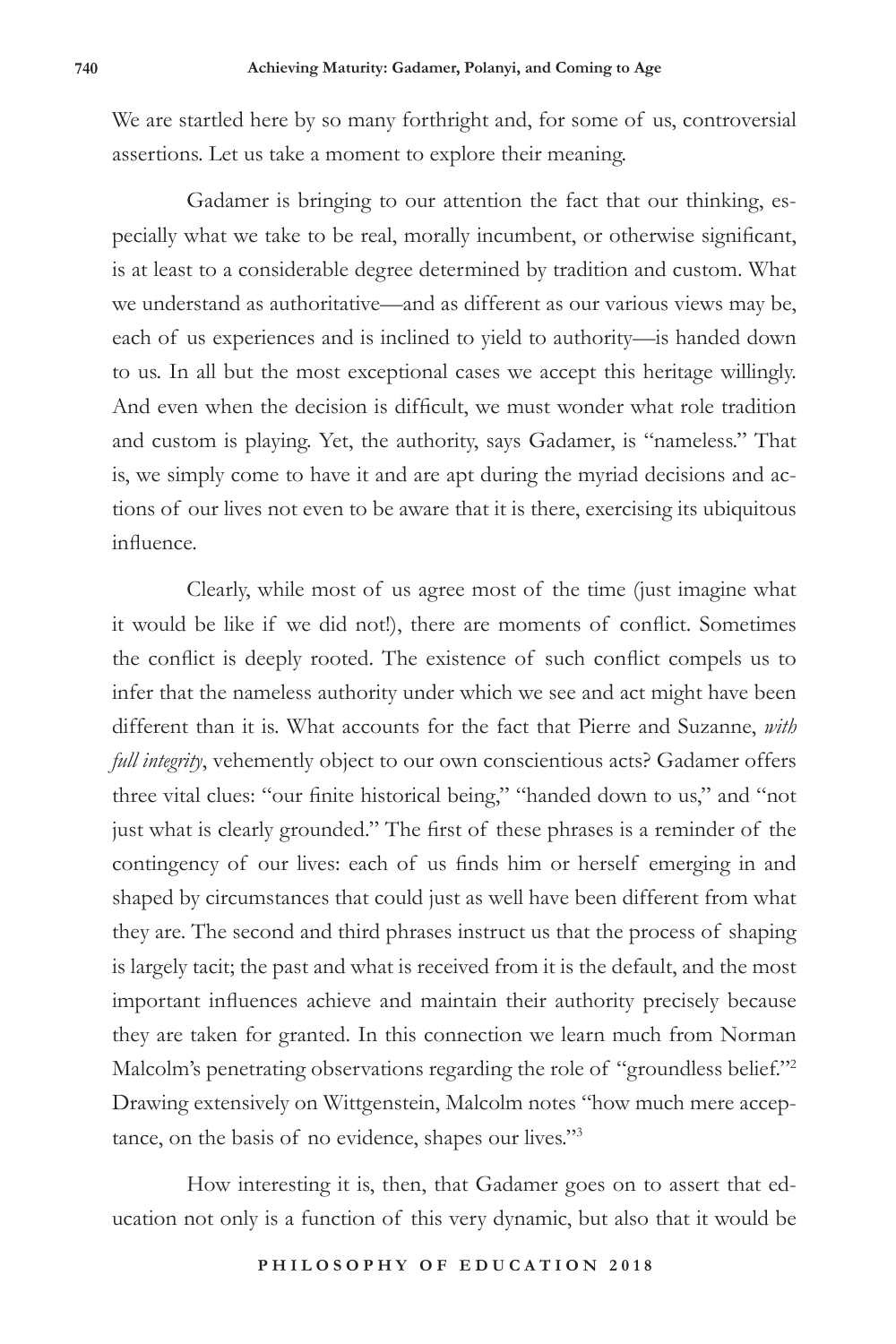We are startled here by so many forthright and, for some of us, controversial assertions. Let us take a moment to explore their meaning.

Gadamer is bringing to our attention the fact that our thinking, especially what we take to be real, morally incumbent, or otherwise significant, is at least to a considerable degree determined by tradition and custom. What we understand as authoritative—and as different as our various views may be, each of us experiences and is inclined to yield to authority—is handed down to us. In all but the most exceptional cases we accept this heritage willingly. And even when the decision is difficult, we must wonder what role tradition and custom is playing. Yet, the authority, says Gadamer, is "nameless." That is, we simply come to have it and are apt during the myriad decisions and actions of our lives not even to be aware that it is there, exercising its ubiquitous influence.

Clearly, while most of us agree most of the time (just imagine what it would be like if we did not!), there are moments of conflict. Sometimes the conflict is deeply rooted. The existence of such conflict compels us to infer that the nameless authority under which we see and act might have been different than it is. What accounts for the fact that Pierre and Suzanne, *with full integrity*, vehemently object to our own conscientious acts? Gadamer offers three vital clues: "our finite historical being," "handed down to us," and "not just what is clearly grounded." The first of these phrases is a reminder of the contingency of our lives: each of us finds him or herself emerging in and shaped by circumstances that could just as well have been different from what they are. The second and third phrases instruct us that the process of shaping is largely tacit; the past and what is received from it is the default, and the most important influences achieve and maintain their authority precisely because they are taken for granted. In this connection we learn much from Norman Malcolm's penetrating observations regarding the role of "groundless belief."<sup>2</sup> Drawing extensively on Wittgenstein, Malcolm notes "how much mere acceptance, on the basis of no evidence, shapes our lives."3

How interesting it is, then, that Gadamer goes on to assert that education not only is a function of this very dynamic, but also that it would be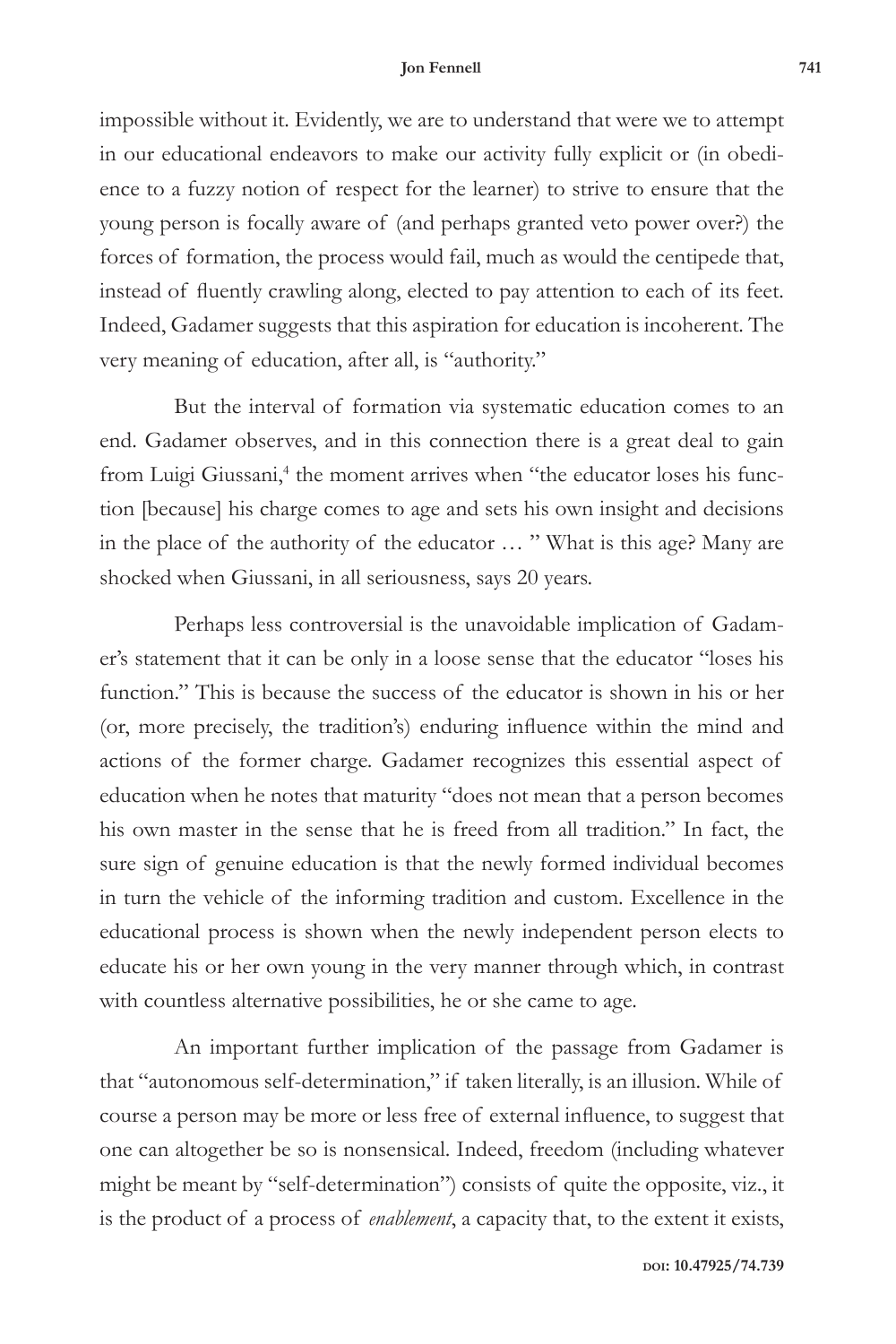impossible without it. Evidently, we are to understand that were we to attempt in our educational endeavors to make our activity fully explicit or (in obedience to a fuzzy notion of respect for the learner) to strive to ensure that the young person is focally aware of (and perhaps granted veto power over?) the forces of formation, the process would fail, much as would the centipede that, instead of fluently crawling along, elected to pay attention to each of its feet. Indeed, Gadamer suggests that this aspiration for education is incoherent. The very meaning of education, after all, is "authority."

But the interval of formation via systematic education comes to an end. Gadamer observes, and in this connection there is a great deal to gain from Luigi Giussani,<sup>4</sup> the moment arrives when "the educator loses his function [because] his charge comes to age and sets his own insight and decisions in the place of the authority of the educator … " What is this age? Many are shocked when Giussani, in all seriousness, says 20 years.

Perhaps less controversial is the unavoidable implication of Gadamer's statement that it can be only in a loose sense that the educator "loses his function." This is because the success of the educator is shown in his or her (or, more precisely, the tradition's) enduring influence within the mind and actions of the former charge. Gadamer recognizes this essential aspect of education when he notes that maturity "does not mean that a person becomes his own master in the sense that he is freed from all tradition." In fact, the sure sign of genuine education is that the newly formed individual becomes in turn the vehicle of the informing tradition and custom. Excellence in the educational process is shown when the newly independent person elects to educate his or her own young in the very manner through which, in contrast with countless alternative possibilities, he or she came to age.

An important further implication of the passage from Gadamer is that "autonomous self-determination," if taken literally, is an illusion. While of course a person may be more or less free of external influence, to suggest that one can altogether be so is nonsensical. Indeed, freedom (including whatever might be meant by "self-determination") consists of quite the opposite, viz., it is the product of a process of *enablement*, a capacity that, to the extent it exists,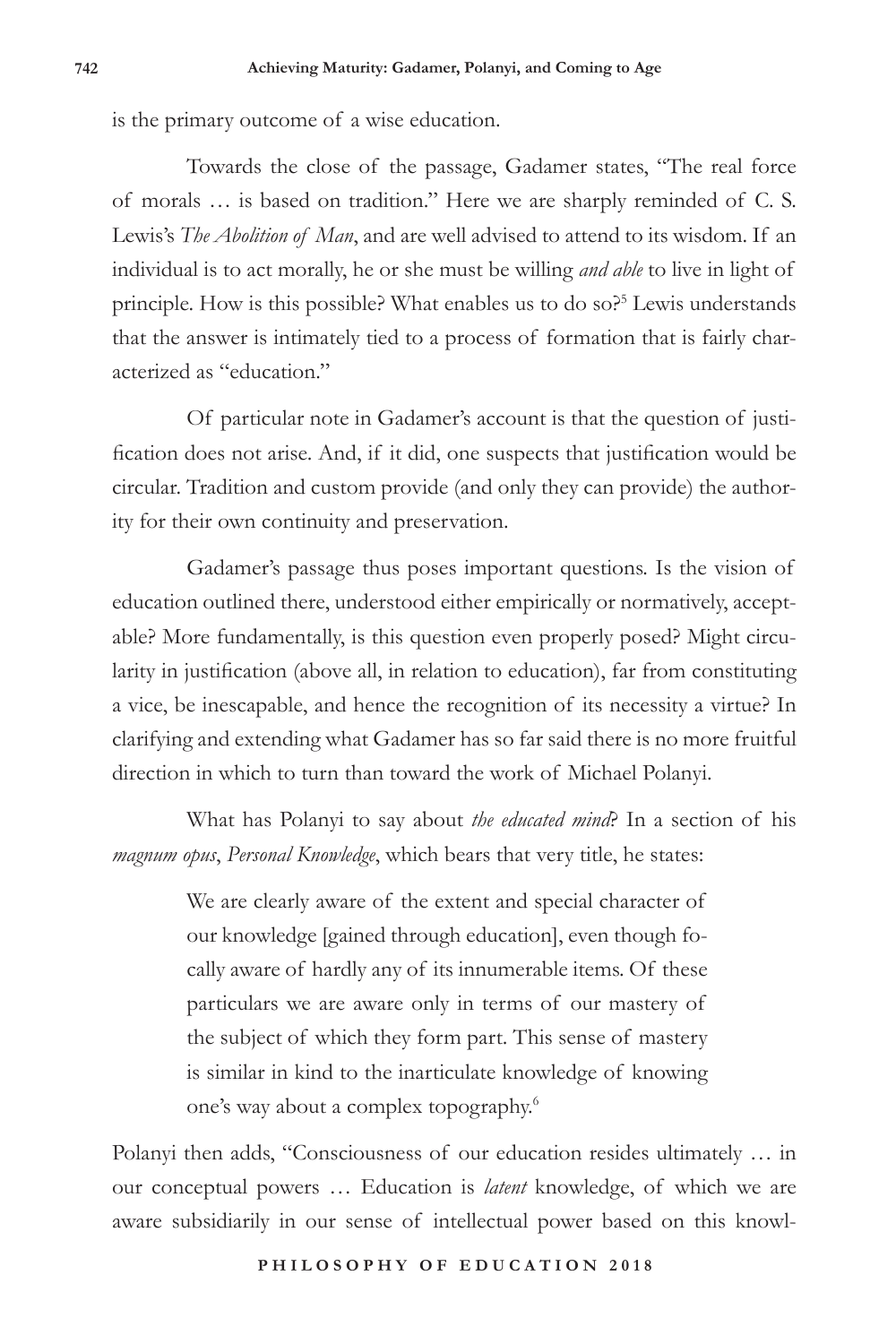is the primary outcome of a wise education.

Towards the close of the passage, Gadamer states, "The real force of morals … is based on tradition." Here we are sharply reminded of C. S. Lewis's *The Abolition of Man*, and are well advised to attend to its wisdom. If an individual is to act morally, he or she must be willing *and able* to live in light of principle. How is this possible? What enables us to do so?<sup>5</sup> Lewis understands that the answer is intimately tied to a process of formation that is fairly characterized as "education."

Of particular note in Gadamer's account is that the question of justification does not arise. And, if it did, one suspects that justification would be circular. Tradition and custom provide (and only they can provide) the authority for their own continuity and preservation.

Gadamer's passage thus poses important questions. Is the vision of education outlined there, understood either empirically or normatively, acceptable? More fundamentally, is this question even properly posed? Might circularity in justification (above all, in relation to education), far from constituting a vice, be inescapable, and hence the recognition of its necessity a virtue? In clarifying and extending what Gadamer has so far said there is no more fruitful direction in which to turn than toward the work of Michael Polanyi.

What has Polanyi to say about *the educated mind*? In a section of his *magnum opus*, *Personal Knowledge*, which bears that very title, he states:

> We are clearly aware of the extent and special character of our knowledge [gained through education], even though focally aware of hardly any of its innumerable items. Of these particulars we are aware only in terms of our mastery of the subject of which they form part. This sense of mastery is similar in kind to the inarticulate knowledge of knowing one's way about a complex topography.6

Polanyi then adds, "Consciousness of our education resides ultimately … in our conceptual powers … Education is *latent* knowledge, of which we are aware subsidiarily in our sense of intellectual power based on this knowl-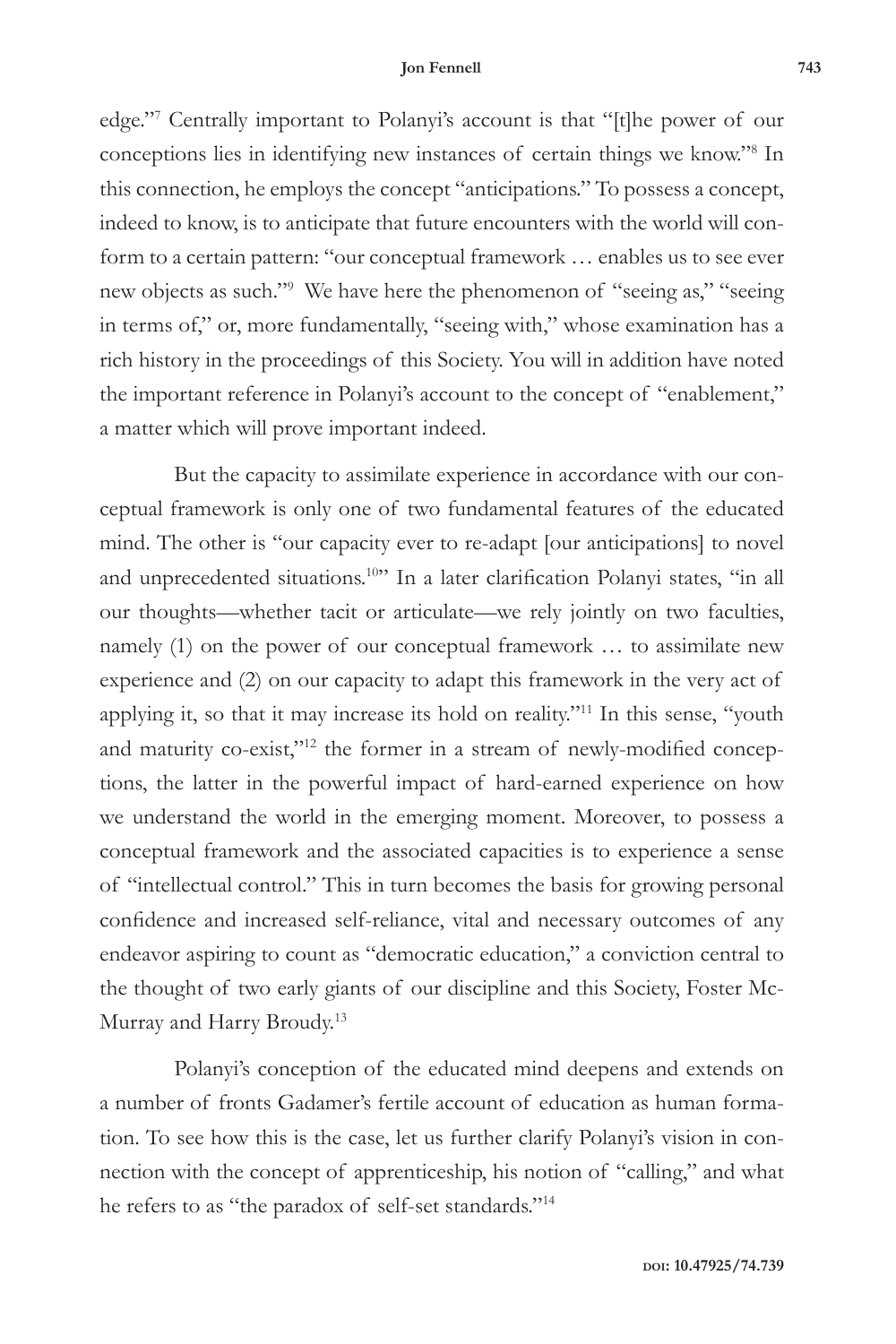edge."7 Centrally important to Polanyi's account is that "[t]he power of our conceptions lies in identifying new instances of certain things we know."8 In this connection, he employs the concept "anticipations." To possess a concept, indeed to know, is to anticipate that future encounters with the world will conform to a certain pattern: "our conceptual framework … enables us to see ever new objects as such."9 We have here the phenomenon of "seeing as," "seeing in terms of," or, more fundamentally, "seeing with," whose examination has a rich history in the proceedings of this Society. You will in addition have noted the important reference in Polanyi's account to the concept of "enablement," a matter which will prove important indeed.

But the capacity to assimilate experience in accordance with our conceptual framework is only one of two fundamental features of the educated mind. The other is "our capacity ever to re-adapt [our anticipations] to novel and unprecedented situations.<sup>10</sup>" In a later clarification Polanyi states, "in all our thoughts—whether tacit or articulate—we rely jointly on two faculties, namely (1) on the power of our conceptual framework … to assimilate new experience and (2) on our capacity to adapt this framework in the very act of applying it, so that it may increase its hold on reality."<sup>11</sup> In this sense, "youth and maturity co-exist,"<sup>12</sup> the former in a stream of newly-modified conceptions, the latter in the powerful impact of hard-earned experience on how we understand the world in the emerging moment. Moreover, to possess a conceptual framework and the associated capacities is to experience a sense of "intellectual control." This in turn becomes the basis for growing personal confidence and increased self-reliance, vital and necessary outcomes of any endeavor aspiring to count as "democratic education," a conviction central to the thought of two early giants of our discipline and this Society, Foster Mc-Murray and Harry Broudy.<sup>13</sup>

Polanyi's conception of the educated mind deepens and extends on a number of fronts Gadamer's fertile account of education as human formation. To see how this is the case, let us further clarify Polanyi's vision in connection with the concept of apprenticeship, his notion of "calling," and what he refers to as "the paradox of self-set standards."14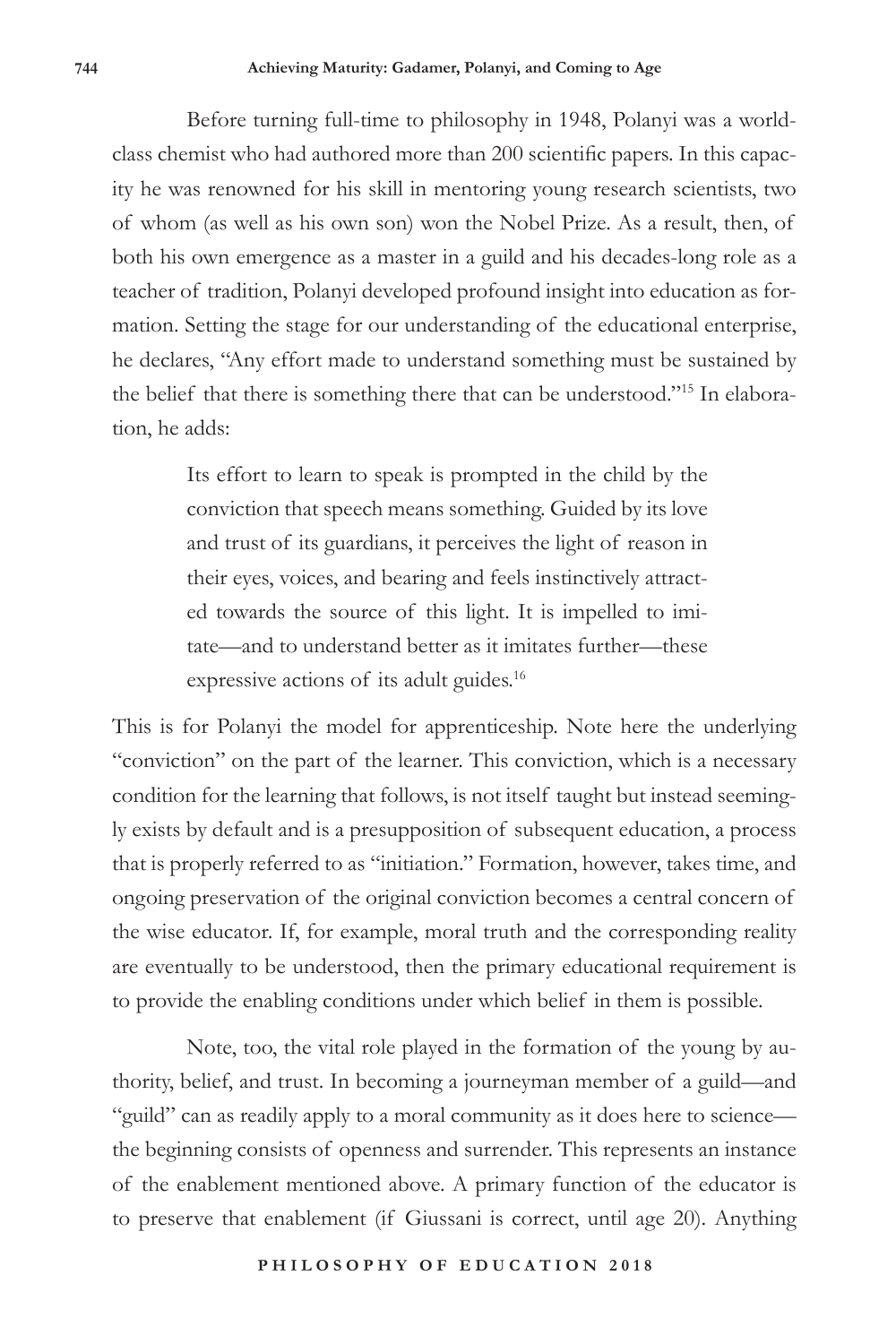Before turning full-time to philosophy in 1948, Polanyi was a worldclass chemist who had authored more than 200 scientific papers. In this capacity he was renowned for his skill in mentoring young research scientists, two of whom (as well as his own son) won the Nobel Prize. As a result, then, of both his own emergence as a master in a guild and his decades-long role as a teacher of tradition, Polanyi developed profound insight into education as formation. Setting the stage for our understanding of the educational enterprise, he declares, "Any effort made to understand something must be sustained by the belief that there is something there that can be understood."15 In elaboration, he adds:

> Its effort to learn to speak is prompted in the child by the conviction that speech means something. Guided by its love and trust of its guardians, it perceives the light of reason in their eyes, voices, and bearing and feels instinctively attracted towards the source of this light. It is impelled to imitate—and to understand better as it imitates further—these expressive actions of its adult guides.<sup>16</sup>

This is for Polanyi the model for apprenticeship. Note here the underlying "conviction" on the part of the learner. This conviction, which is a necessary condition for the learning that follows, is not itself taught but instead seemingly exists by default and is a presupposition of subsequent education, a process that is properly referred to as "initiation." Formation, however, takes time, and ongoing preservation of the original conviction becomes a central concern of the wise educator. If, for example, moral truth and the corresponding reality are eventually to be understood, then the primary educational requirement is to provide the enabling conditions under which belief in them is possible.

Note, too, the vital role played in the formation of the young by authority, belief, and trust. In becoming a journeyman member of a guild—and "guild" can as readily apply to a moral community as it does here to science the beginning consists of openness and surrender. This represents an instance of the enablement mentioned above. A primary function of the educator is to preserve that enablement (if Giussani is correct, until age 20). Anything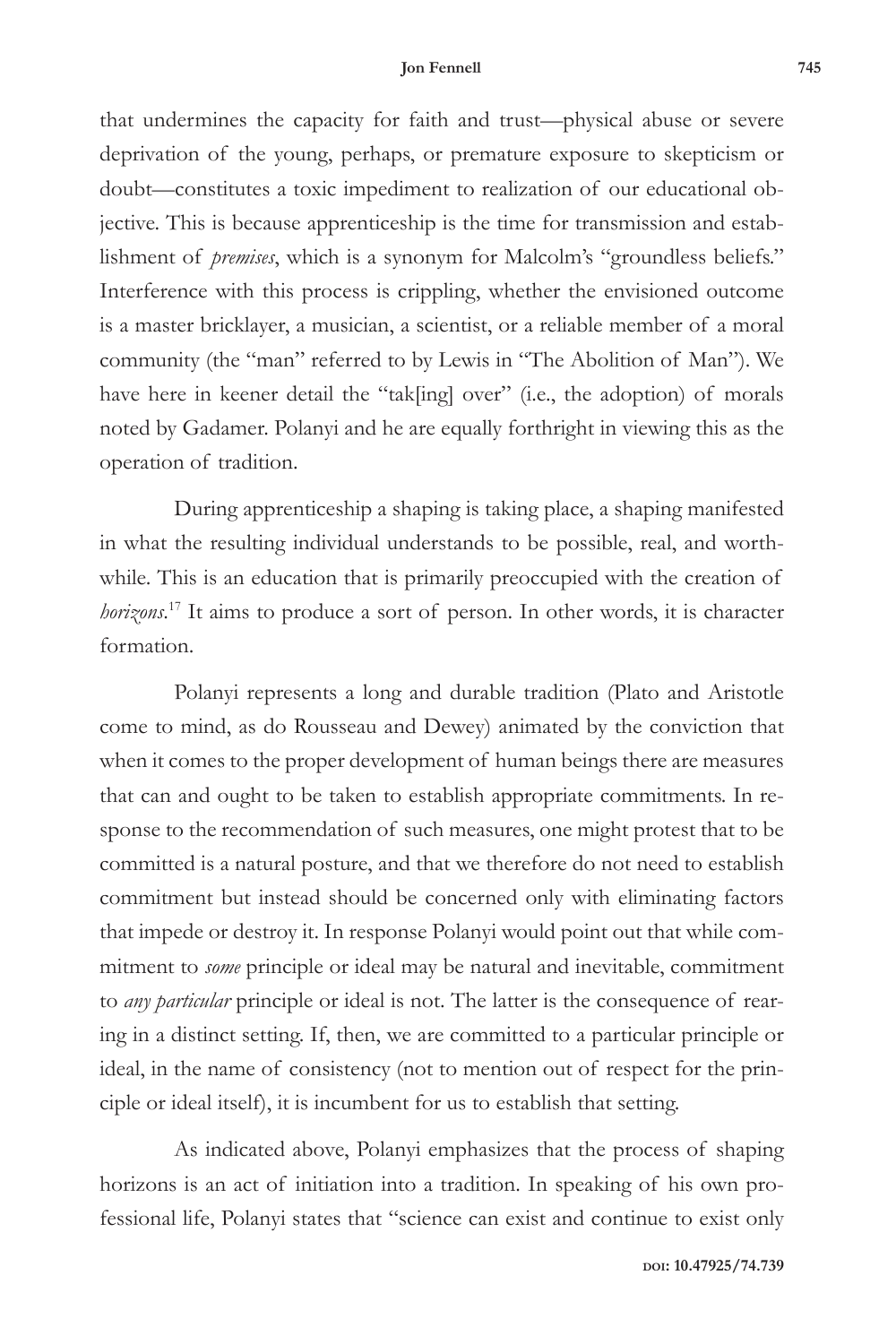that undermines the capacity for faith and trust—physical abuse or severe deprivation of the young, perhaps, or premature exposure to skepticism or doubt—constitutes a toxic impediment to realization of our educational objective. This is because apprenticeship is the time for transmission and establishment of *premises*, which is a synonym for Malcolm's "groundless beliefs." Interference with this process is crippling, whether the envisioned outcome is a master bricklayer, a musician, a scientist, or a reliable member of a moral community (the "man" referred to by Lewis in "The Abolition of Man"). We have here in keener detail the "tak[ing] over" (i.e., the adoption) of morals noted by Gadamer. Polanyi and he are equally forthright in viewing this as the operation of tradition.

During apprenticeship a shaping is taking place, a shaping manifested in what the resulting individual understands to be possible, real, and worthwhile. This is an education that is primarily preoccupied with the creation of *horizons*. 17 It aims to produce a sort of person. In other words, it is character formation.

Polanyi represents a long and durable tradition (Plato and Aristotle come to mind, as do Rousseau and Dewey) animated by the conviction that when it comes to the proper development of human beings there are measures that can and ought to be taken to establish appropriate commitments. In response to the recommendation of such measures, one might protest that to be committed is a natural posture, and that we therefore do not need to establish commitment but instead should be concerned only with eliminating factors that impede or destroy it. In response Polanyi would point out that while commitment to *some* principle or ideal may be natural and inevitable, commitment to *any particular* principle or ideal is not. The latter is the consequence of rearing in a distinct setting. If, then, we are committed to a particular principle or ideal, in the name of consistency (not to mention out of respect for the principle or ideal itself), it is incumbent for us to establish that setting.

As indicated above, Polanyi emphasizes that the process of shaping horizons is an act of initiation into a tradition. In speaking of his own professional life, Polanyi states that "science can exist and continue to exist only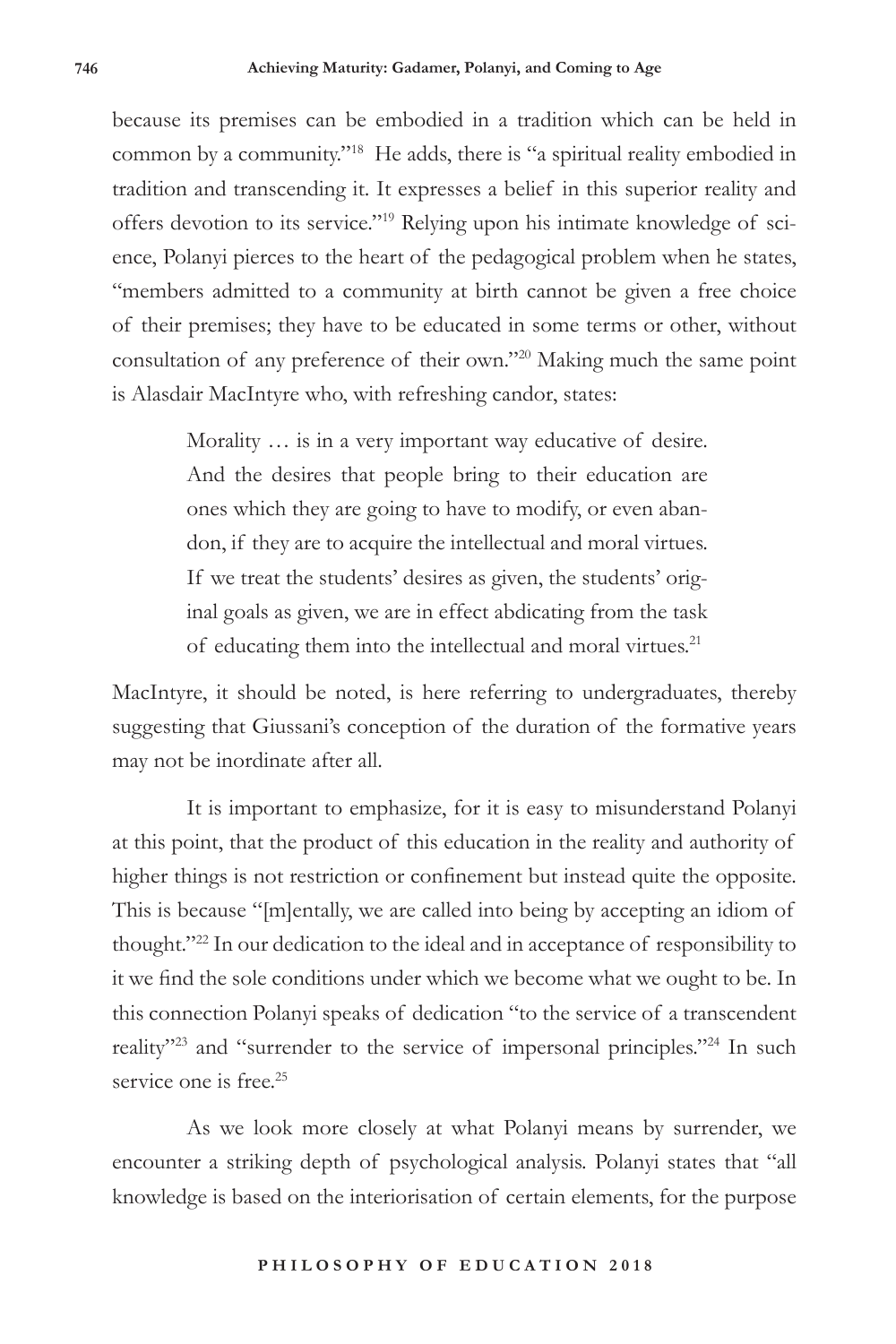because its premises can be embodied in a tradition which can be held in common by a community."18 He adds, there is "a spiritual reality embodied in tradition and transcending it. It expresses a belief in this superior reality and offers devotion to its service."19 Relying upon his intimate knowledge of science, Polanyi pierces to the heart of the pedagogical problem when he states, "members admitted to a community at birth cannot be given a free choice of their premises; they have to be educated in some terms or other, without consultation of any preference of their own."20 Making much the same point is Alasdair MacIntyre who, with refreshing candor, states:

> Morality … is in a very important way educative of desire. And the desires that people bring to their education are ones which they are going to have to modify, or even abandon, if they are to acquire the intellectual and moral virtues. If we treat the students' desires as given, the students' original goals as given, we are in effect abdicating from the task of educating them into the intellectual and moral virtues.<sup>21</sup>

MacIntyre, it should be noted, is here referring to undergraduates, thereby suggesting that Giussani's conception of the duration of the formative years may not be inordinate after all.

It is important to emphasize, for it is easy to misunderstand Polanyi at this point, that the product of this education in the reality and authority of higher things is not restriction or confinement but instead quite the opposite. This is because "[m]entally, we are called into being by accepting an idiom of thought."22 In our dedication to the ideal and in acceptance of responsibility to it we find the sole conditions under which we become what we ought to be. In this connection Polanyi speaks of dedication "to the service of a transcendent reality"<sup>23</sup> and "surrender to the service of impersonal principles."<sup>24</sup> In such service one is free.<sup>25</sup>

As we look more closely at what Polanyi means by surrender, we encounter a striking depth of psychological analysis. Polanyi states that "all knowledge is based on the interiorisation of certain elements, for the purpose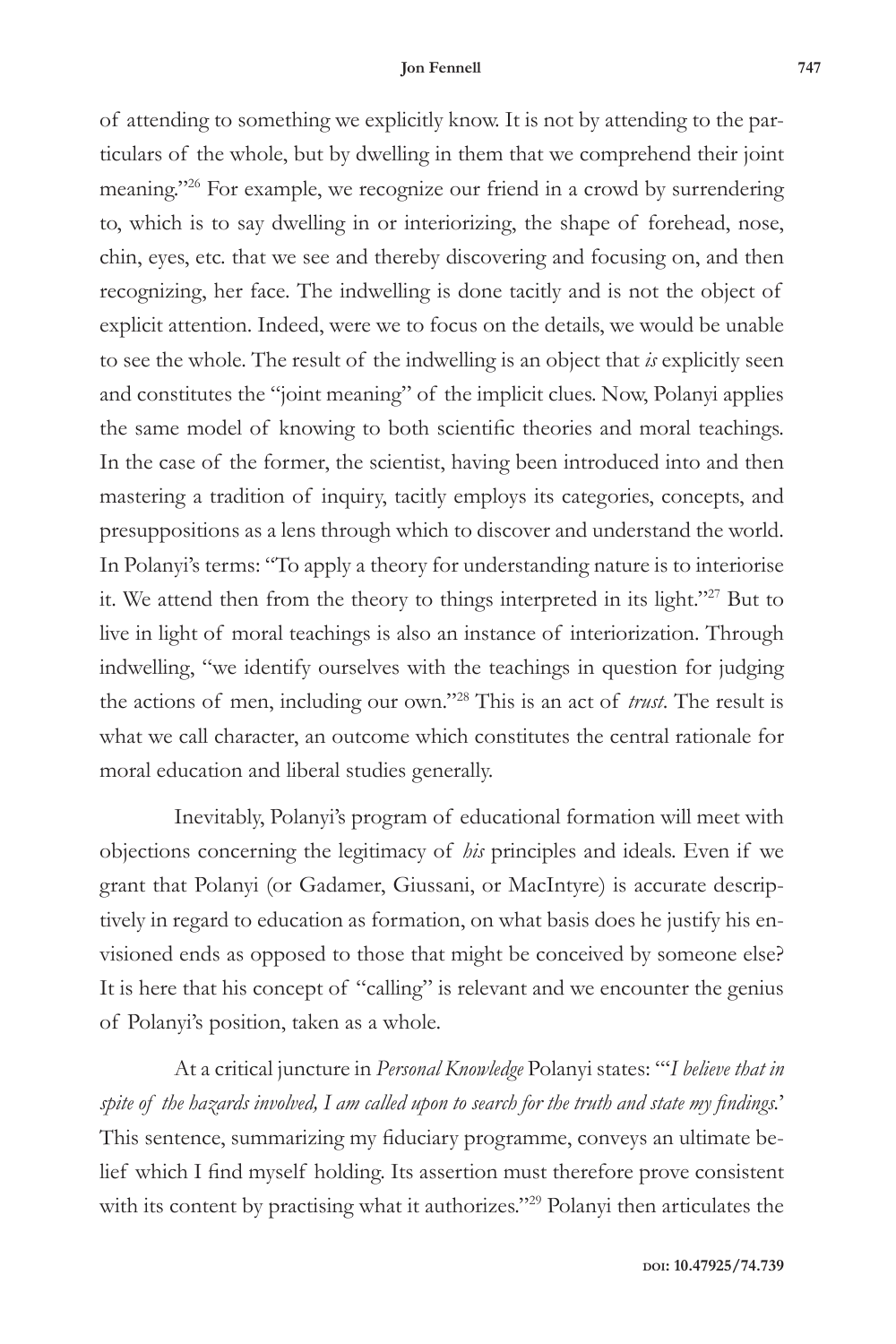of attending to something we explicitly know. It is not by attending to the particulars of the whole, but by dwelling in them that we comprehend their joint meaning."26 For example, we recognize our friend in a crowd by surrendering to, which is to say dwelling in or interiorizing, the shape of forehead, nose, chin, eyes, etc. that we see and thereby discovering and focusing on, and then recognizing, her face. The indwelling is done tacitly and is not the object of explicit attention. Indeed, were we to focus on the details, we would be unable to see the whole. The result of the indwelling is an object that *is* explicitly seen and constitutes the "joint meaning" of the implicit clues. Now, Polanyi applies the same model of knowing to both scientific theories and moral teachings. In the case of the former, the scientist, having been introduced into and then mastering a tradition of inquiry, tacitly employs its categories, concepts, and presuppositions as a lens through which to discover and understand the world. In Polanyi's terms: "To apply a theory for understanding nature is to interiorise it. We attend then from the theory to things interpreted in its light."27 But to live in light of moral teachings is also an instance of interiorization. Through indwelling, "we identify ourselves with the teachings in question for judging the actions of men, including our own."28 This is an act of *trust*. The result is what we call character, an outcome which constitutes the central rationale for moral education and liberal studies generally.

Inevitably, Polanyi's program of educational formation will meet with objections concerning the legitimacy of *his* principles and ideals. Even if we grant that Polanyi (or Gadamer, Giussani, or MacIntyre) is accurate descriptively in regard to education as formation, on what basis does he justify his envisioned ends as opposed to those that might be conceived by someone else? It is here that his concept of "calling" is relevant and we encounter the genius of Polanyi's position, taken as a whole.

At a critical juncture in *Personal Knowledge* Polanyi states: "'*I believe that in spite of the hazards involved, I am called upon to search for the truth and state my findings.*' This sentence, summarizing my fiduciary programme, conveys an ultimate belief which I find myself holding. Its assertion must therefore prove consistent with its content by practising what it authorizes."29 Polanyi then articulates the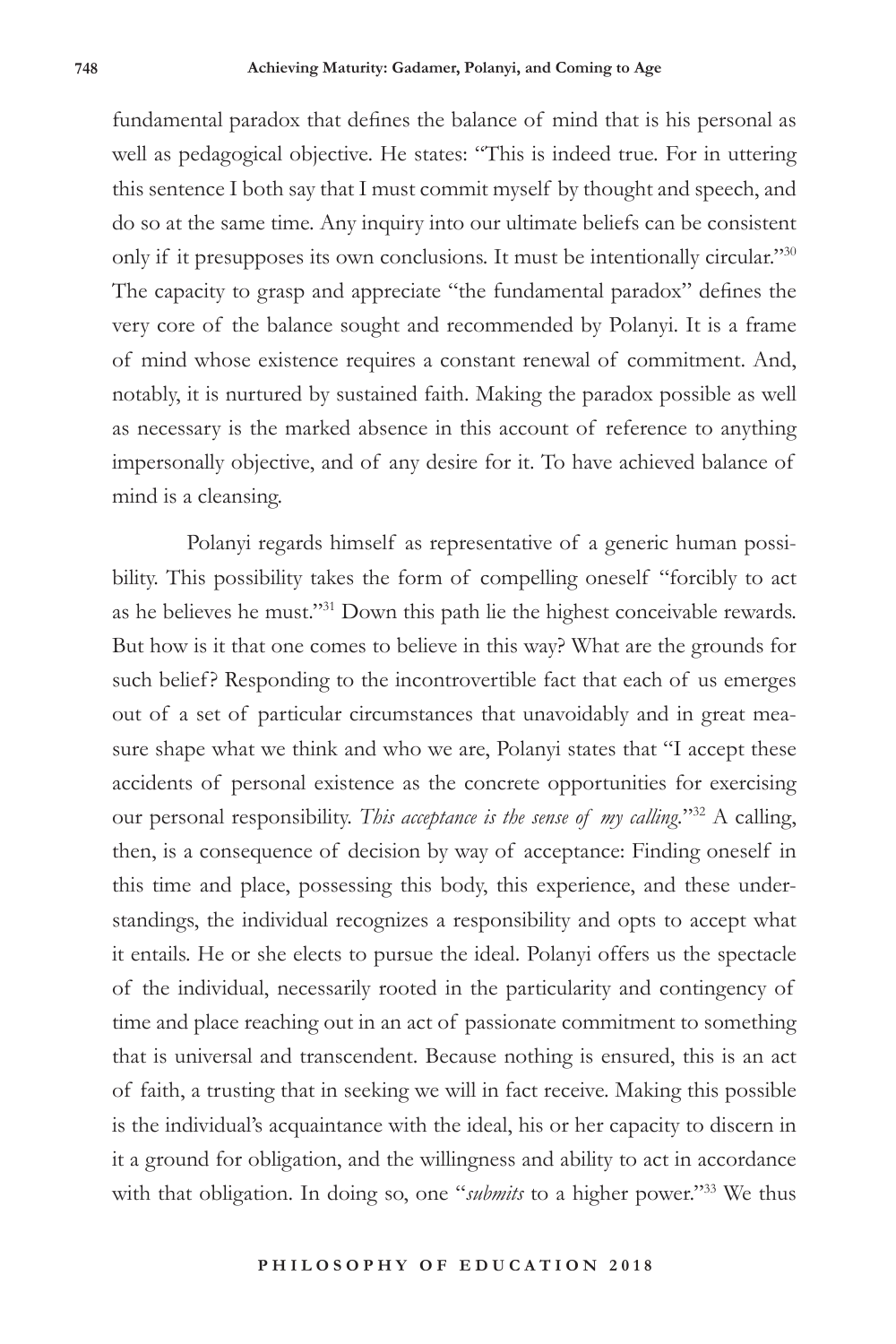fundamental paradox that defines the balance of mind that is his personal as well as pedagogical objective. He states: "This is indeed true. For in uttering this sentence I both say that I must commit myself by thought and speech, and do so at the same time. Any inquiry into our ultimate beliefs can be consistent only if it presupposes its own conclusions. It must be intentionally circular."30 The capacity to grasp and appreciate "the fundamental paradox" defines the very core of the balance sought and recommended by Polanyi. It is a frame of mind whose existence requires a constant renewal of commitment. And, notably, it is nurtured by sustained faith. Making the paradox possible as well as necessary is the marked absence in this account of reference to anything impersonally objective, and of any desire for it. To have achieved balance of mind is a cleansing.

Polanyi regards himself as representative of a generic human possibility. This possibility takes the form of compelling oneself "forcibly to act as he believes he must."31 Down this path lie the highest conceivable rewards. But how is it that one comes to believe in this way? What are the grounds for such belief? Responding to the incontrovertible fact that each of us emerges out of a set of particular circumstances that unavoidably and in great measure shape what we think and who we are, Polanyi states that "I accept these accidents of personal existence as the concrete opportunities for exercising our personal responsibility. *This acceptance is the sense of my calling.*"32 A calling, then, is a consequence of decision by way of acceptance: Finding oneself in this time and place, possessing this body, this experience, and these understandings, the individual recognizes a responsibility and opts to accept what it entails. He or she elects to pursue the ideal. Polanyi offers us the spectacle of the individual, necessarily rooted in the particularity and contingency of time and place reaching out in an act of passionate commitment to something that is universal and transcendent. Because nothing is ensured, this is an act of faith, a trusting that in seeking we will in fact receive. Making this possible is the individual's acquaintance with the ideal, his or her capacity to discern in it a ground for obligation, and the willingness and ability to act in accordance with that obligation. In doing so, one "*submits* to a higher power."<sup>33</sup> We thus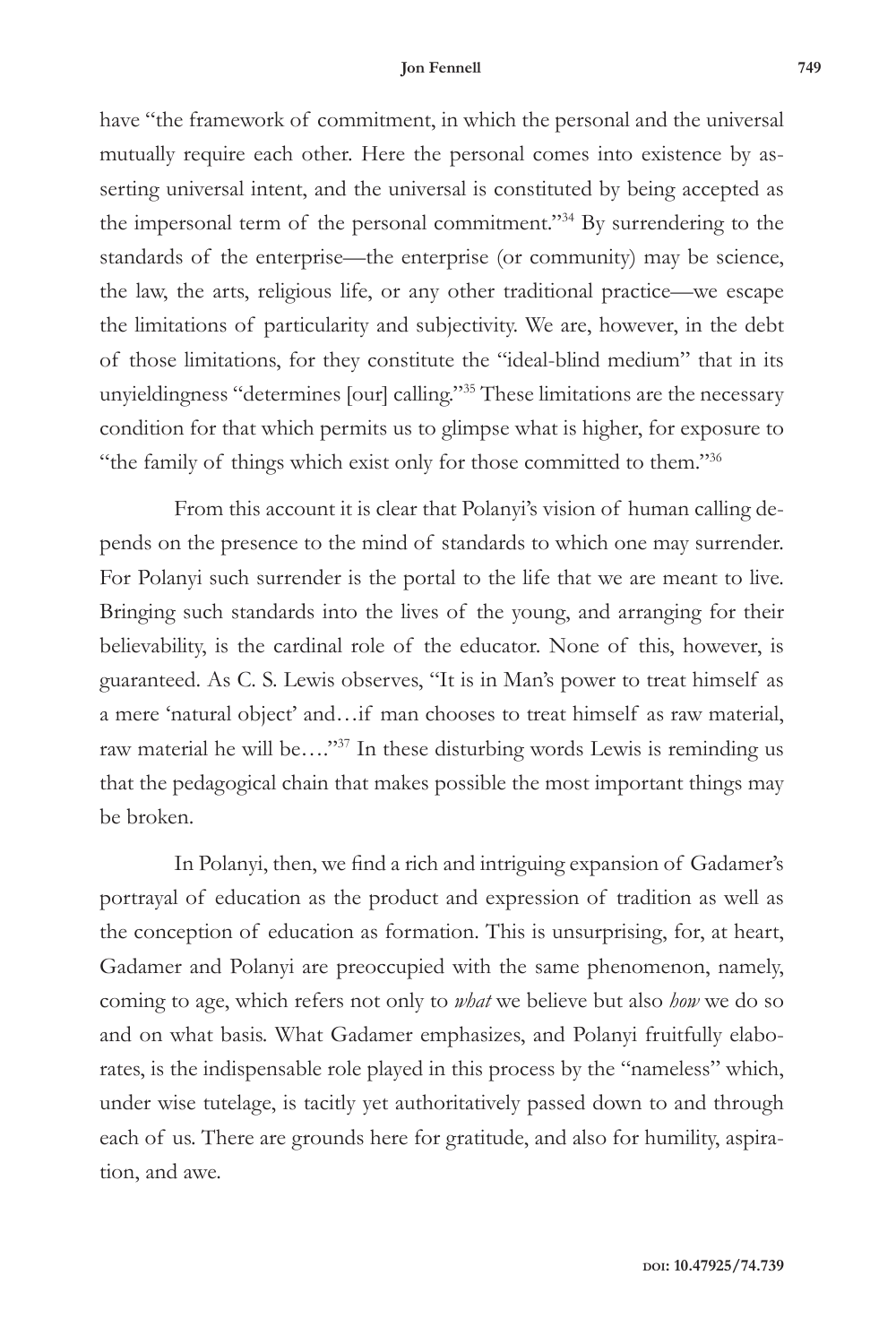have "the framework of commitment, in which the personal and the universal mutually require each other. Here the personal comes into existence by asserting universal intent, and the universal is constituted by being accepted as the impersonal term of the personal commitment."34 By surrendering to the standards of the enterprise—the enterprise (or community) may be science, the law, the arts, religious life, or any other traditional practice—we escape the limitations of particularity and subjectivity. We are, however, in the debt of those limitations, for they constitute the "ideal-blind medium" that in its unyieldingness "determines [our] calling."35 These limitations are the necessary condition for that which permits us to glimpse what is higher, for exposure to "the family of things which exist only for those committed to them."36

From this account it is clear that Polanyi's vision of human calling depends on the presence to the mind of standards to which one may surrender. For Polanyi such surrender is the portal to the life that we are meant to live. Bringing such standards into the lives of the young, and arranging for their believability, is the cardinal role of the educator. None of this, however, is guaranteed. As C. S. Lewis observes, "It is in Man's power to treat himself as a mere 'natural object' and…if man chooses to treat himself as raw material, raw material he will be…."37 In these disturbing words Lewis is reminding us that the pedagogical chain that makes possible the most important things may be broken.

In Polanyi, then, we find a rich and intriguing expansion of Gadamer's portrayal of education as the product and expression of tradition as well as the conception of education as formation. This is unsurprising, for, at heart, Gadamer and Polanyi are preoccupied with the same phenomenon, namely, coming to age, which refers not only to *what* we believe but also *how* we do so and on what basis. What Gadamer emphasizes, and Polanyi fruitfully elaborates, is the indispensable role played in this process by the "nameless" which, under wise tutelage, is tacitly yet authoritatively passed down to and through each of us. There are grounds here for gratitude, and also for humility, aspiration, and awe.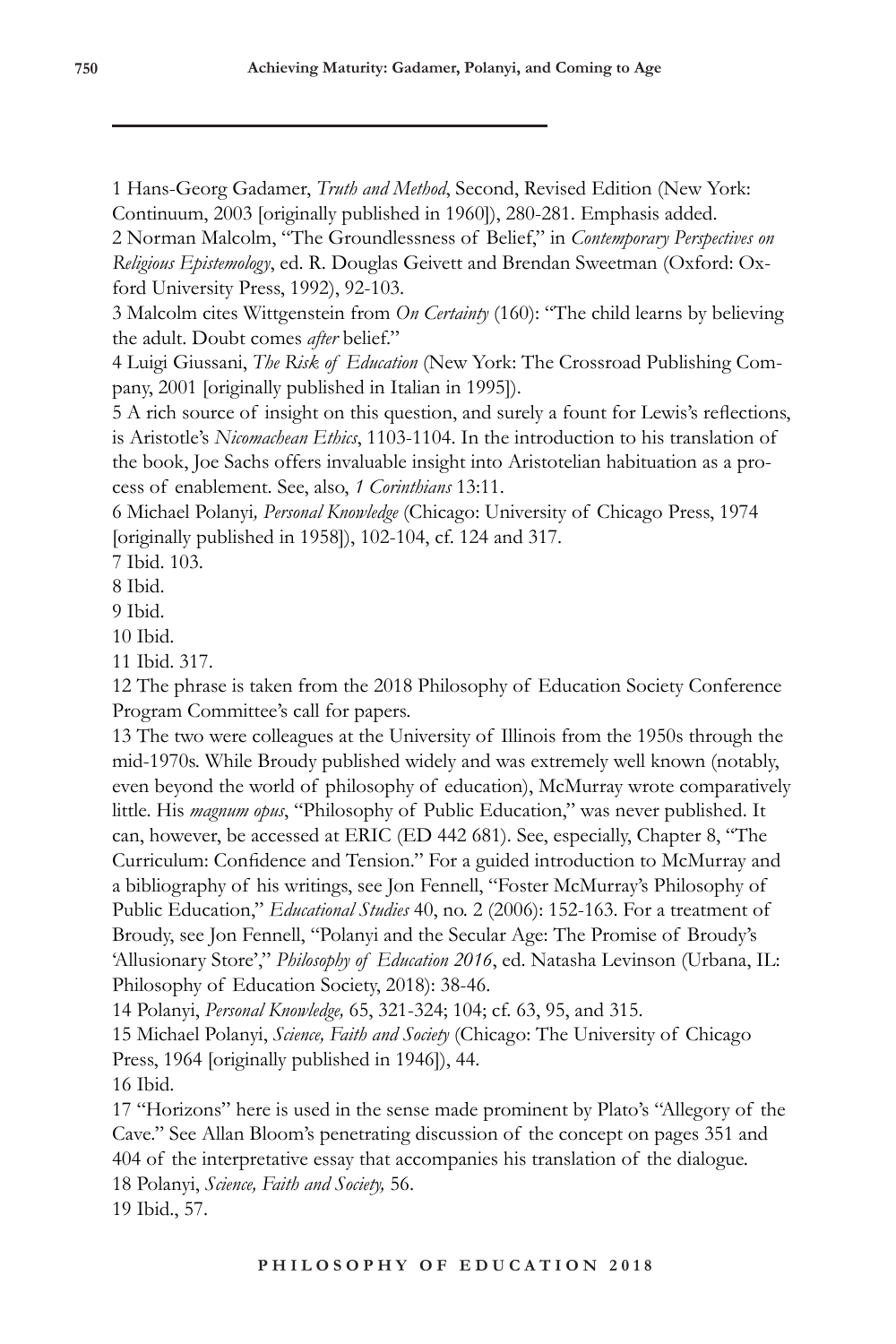1 Hans-Georg Gadamer, *Truth and Method*, Second, Revised Edition (New York: Continuum, 2003 [originally published in 1960]), 280-281. Emphasis added.

2 Norman Malcolm, "The Groundlessness of Belief," in *Contemporary Perspectives on Religious Epistemology*, ed. R. Douglas Geivett and Brendan Sweetman (Oxford: Oxford University Press, 1992), 92-103.

3 Malcolm cites Wittgenstein from *On Certainty* (160): "The child learns by believing the adult. Doubt comes *after* belief."

4 Luigi Giussani, *The Risk of Education* (New York: The Crossroad Publishing Company, 2001 [originally published in Italian in 1995]).

5 A rich source of insight on this question, and surely a fount for Lewis's reflections, is Aristotle's *Nicomachean Ethics*, 1103-1104. In the introduction to his translation of the book, Joe Sachs offers invaluable insight into Aristotelian habituation as a process of enablement. See, also, *1 Corinthians* 13:11.

6 Michael Polanyi*, Personal Knowledge* (Chicago: University of Chicago Press, 1974 [originally published in 1958]), 102-104, cf. 124 and 317.

7 Ibid. 103.

8 Ibid.

9 Ibid.

10 Ibid.

11 Ibid. 317.

12 The phrase is taken from the 2018 Philosophy of Education Society Conference Program Committee's call for papers.

13 The two were colleagues at the University of Illinois from the 1950s through the mid-1970s. While Broudy published widely and was extremely well known (notably, even beyond the world of philosophy of education), McMurray wrote comparatively little. His *magnum opus*, "Philosophy of Public Education," was never published. It can, however, be accessed at ERIC (ED 442 681). See, especially, Chapter 8, "The Curriculum: Confidence and Tension." For a guided introduction to McMurray and a bibliography of his writings, see Jon Fennell, "Foster McMurray's Philosophy of Public Education," *Educational Studies* 40, no. 2 (2006): 152-163. For a treatment of Broudy, see Jon Fennell, "Polanyi and the Secular Age: The Promise of Broudy's 'Allusionary Store'," *Philosophy of Education 2016*, ed. Natasha Levinson (Urbana, IL: Philosophy of Education Society, 2018): 38-46.

14 Polanyi, *Personal Knowledge,* 65, 321-324; 104; cf. 63, 95, and 315.

15 Michael Polanyi, *Science, Faith and Society* (Chicago: The University of Chicago Press, 1964 [originally published in 1946]), 44.

16 Ibid.

17 "Horizons" here is used in the sense made prominent by Plato's "Allegory of the Cave." See Allan Bloom's penetrating discussion of the concept on pages 351 and 404 of the interpretative essay that accompanies his translation of the dialogue. 18 Polanyi, *Science, Faith and Society,* 56.

19 Ibid., 57.